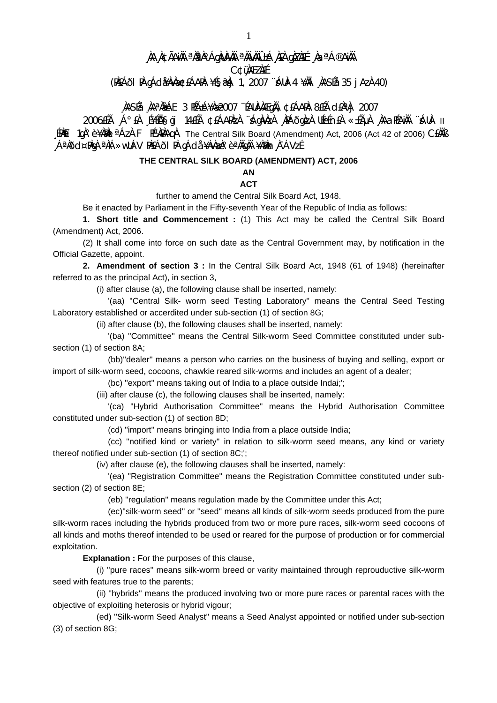# **¸ÀA¸À¢ÃAiÀÄ ªÀåªÀºÁgÀUÀ¼ÀÄ ªÀÄvÀÄÛ ±Á¸À£À gÀZÀ£É ¸ÀaªÁ®AiÀÄ**

**C¢ü¸ÀÆZÀ£É** 

**(PÀ£ÁðlPÀ gÁdå¥ÀvÀæ ¢£ÁAPÀ: ¥É§æªÀj 1, 2007 ¨sÁUÀ-4 ¥ÀÄl¸ÀASÉå: 35 jAzÀ 40)** 

## **¸ÀASÉå: ¸ÀAªÀå±ÁE 3 PÉñÁ¥Àæ 2007 ¨ÉAUÀ¼ÀÆgÀÄ, ¢£ÁAPÀ: 8£Éà d£ÀªÀj 2007**

2006£Éà ¸Á°£À ¸É¥ÉÖA§gï 14£Éà ¢£ÁAPÀzÀ ¨sÁgÀvÀzÀ ¸ÀPÁðgÀzÀ UÉeÉn£À «±ÉõÀ ¸ÀAaPÉAiÀÄ ¨sÁUÀ- II [PAÈï 1qλ°è ¥Àλλ <sup>a</sup>ÁzÀ F PɼAÀAqÀ The Central Silk Board (Amendment) Act, 2006 (Act 42 of 2006) C£ÀÄß ¸ÁªÀðd¤PÀgÀ ªÀiÁ»wUÁV PÀ£ÁðlPÀ gÁdå ¥ÀvÀæzÀ°è ªÀÄgÀÄ ¥ÀæPÀn¸À¯ÁVzÉ

## **THE CENTRAL SILK BOARD (AMENDMENT) ACT, 2006**

### **AN**

#### **ACT**

further to amend the Central Silk Board Act, 1948.

Be it enacted by Parliament in the Fifty-seventh Year of the Republic of India as follows:

 **1. Short title and Commencement :** (1) This Act may be called the Central Silk Board (Amendment) Act, 2006.

 (2) It shall come into force on such date as the Central Government may, by notification in the Official Gazette, appoint.

**2. Amendment of section 3 :** In the Central Silk Board Act, 1948 (61 of 1948) (hereinafter referred to as the principal Act), in section 3,

(i) after clause (a), the following clause shall be inserted, namely:

 '(aa) ''Central Silk- worm seed Testing Laboratory'' means the Central Seed Testing Laboratory established or accerdited under sub-section (1) of section 8G;

(ii) after clause (b), the following clauses shall be inserted, namely:

 '(ba) ''Committee'' means the Central Silk-worm Seed Committee constituted under subsection (1) of section 8A;

 (bb)''dealer'' means a person who carries on the business of buying and selling, export or import of silk-worm seed, cocoons, chawkie reared silk-worms and includes an agent of a dealer;

(bc) ''export'' means taking out of India to a place outside Indai;';

(iii) after clause (c), the following clauses shall be inserted, namely:

 '(ca) ''Hybrid Authorisation Committee'' means the Hybrid Authorisation Committee constituted under sub-section (1) of section 8D;

(cd) ''import'' means bringing into India from a place outside India;

 (cc) ''notified kind or variety'' in relation to silk-worm seed means, any kind or variety thereof notified under sub-section (1) of section 8C;';

(iv) after clause (e), the following clauses shall be inserted, namely:

 '(ea) ''Registration Committee'' means the Registration Committee constituted under subsection (2) of section 8E;

(eb) ''regulation'' means regulation made by the Committee under this Act;

 (ec)''silk-worm seed'' or ''seed'' means all kinds of silk-worm seeds produced from the pure silk-worm races including the hybrids produced from two or more pure races, silk-worm seed cocoons of all kinds and moths thereof intended to be used or reared for the purpose of production or for commercial exploitation.

**Explanation :** For the purposes of this clause,

 (i) ''pure races'' means silk-worm breed or varity maintained through reprouductive silk-worm seed with features true to the parents;

 (ii) ''hybrids'' means the produced involving two or more pure races or parental races with the objective of exploiting heterosis or hybrid vigour;

 (ed) ''Silk-worm Seed Analyst'' means a Seed Analyst appointed or notified under sub-section (3) of section 8G;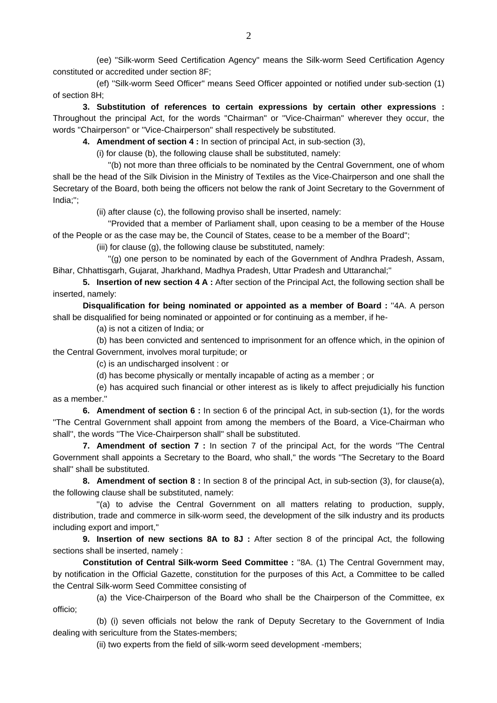(ee) ''Silk-worm Seed Certification Agency'' means the Silk-worm Seed Certification Agency constituted or accredited under section 8F;

 (ef) ''Silk-worm Seed Officer'' means Seed Officer appointed or notified under sub-section (1) of section 8H;

**3. Substitution of references to certain expressions by certain other expressions :** Throughout the principal Act, for the words ''Chairman'' or ''Vice-Chairman'' wherever they occur, the words ''Chairperson'' or ''Vice-Chairperson'' shall respectively be substituted.

**4. Amendment of section 4 :** In section of principal Act, in sub-section (3),

(i) for clause (b), the following clause shall be substituted, namely:

 ''(b) not more than three officials to be nominated by the Central Government, one of whom shall be the head of the Silk Division in the Ministry of Textiles as the Vice-Chairperson and one shall the Secretary of the Board, both being the officers not below the rank of Joint Secretary to the Government of India;'';

(ii) after clause (c), the following proviso shall be inserted, namely:

 ''Provided that a member of Parliament shall, upon ceasing to be a member of the House of the People or as the case may be, the Council of States, cease to be a member of the Board'';

(iii) for clause (g), the following clause be substituted, namely:

 ''(g) one person to be nominated by each of the Government of Andhra Pradesh, Assam, Bihar, Chhattisgarh, Gujarat, Jharkhand, Madhya Pradesh, Uttar Pradesh and Uttaranchal;''

**5. Insertion of new section 4 A :** After section of the Principal Act, the following section shall be inserted, namely:

**Disqualification for being nominated or appointed as a member of Board :** ''4A. A person shall be disqualified for being nominated or appointed or for continuing as a member, if he-

(a) is not a citizen of India; or

 (b) has been convicted and sentenced to imprisonment for an offence which, in the opinion of the Central Government, involves moral turpitude; or

(c) is an undischarged insolvent : or

(d) has become physically or mentally incapable of acting as a member ; or

 (e) has acquired such financial or other interest as is likely to affect prejudicially his function as a member.''

**6. Amendment of section 6 :** In section 6 of the principal Act, in sub-section (1), for the words ''The Central Government shall appoint from among the members of the Board, a Vice-Chairman who shall'', the words ''The Vice-Chairperson shall'' shall be substituted.

**7. Amendment of section 7 :** In section 7 of the principal Act, for the words ''The Central Government shall appoints a Secretary to the Board, who shall,'' the words ''The Secretary to the Board shall'' shall be substituted.

**8. Amendment of section 8 :** In section 8 of the principal Act, in sub-section (3), for clause(a), the following clause shall be substituted, namely:

 ''(a) to advise the Central Government on all matters relating to production, supply, distribution, trade and commerce in silk-worm seed, the development of the silk industry and its products including export and import,''

**9. Insertion of new sections 8A to 8J :** After section 8 of the principal Act, the following sections shall be inserted, namely :

**Constitution of Central Silk-worm Seed Committee :** ''8A. (1) The Central Government may, by notification in the Official Gazette, constitution for the purposes of this Act, a Committee to be called the Central Silk-worm Seed Committee consisting of

 (a) the Vice-Chairperson of the Board who shall be the Chairperson of the Committee, ex officio;

 (b) (i) seven officials not below the rank of Deputy Secretary to the Government of India dealing with sericulture from the States-members;

(ii) two experts from the field of silk-worm seed development -members;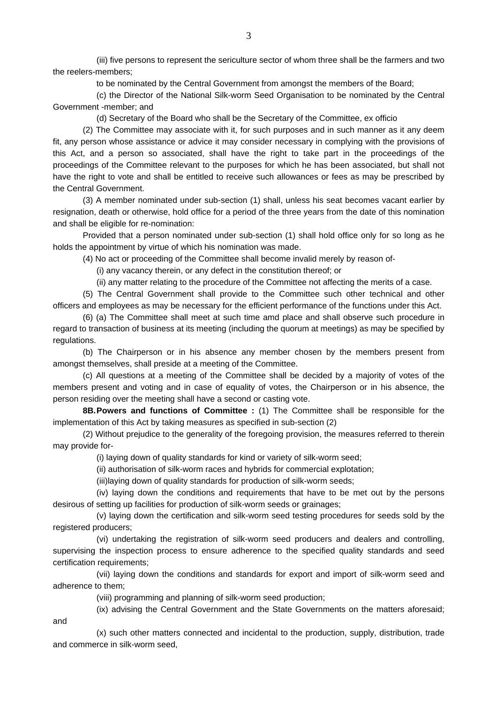(iii) five persons to represent the sericulture sector of whom three shall be the farmers and two the reelers-members;

to be nominated by the Central Government from amongst the members of the Board;

 (c) the Director of the National Silk-worm Seed Organisation to be nominated by the Central Government -member; and

(d) Secretary of the Board who shall be the Secretary of the Committee, ex officio

 (2) The Committee may associate with it, for such purposes and in such manner as it any deem fit, any person whose assistance or advice it may consider necessary in complying with the provisions of this Act, and a person so associated, shall have the right to take part in the proceedings of the proceedings of the Committee relevant to the purposes for which he has been associated, but shall not have the right to vote and shall be entitled to receive such allowances or fees as may be prescribed by the Central Government.

 (3) A member nominated under sub-section (1) shall, unless his seat becomes vacant earlier by resignation, death or otherwise, hold office for a period of the three years from the date of this nomination and shall be eligible for re-nomination:

 Provided that a person nominated under sub-section (1) shall hold office only for so long as he holds the appointment by virtue of which his nomination was made.

(4) No act or proceeding of the Committee shall become invalid merely by reason of-

(i) any vacancy therein, or any defect in the constitution thereof; or

(ii) any matter relating to the procedure of the Committee not affecting the merits of a case.

 (5) The Central Government shall provide to the Committee such other technical and other officers and employees as may be necessary for the efficient performance of the functions under this Act.

 (6) (a) The Committee shall meet at such time amd place and shall observe such procedure in regard to transaction of business at its meeting (including the quorum at meetings) as may be specified by regulations.

 (b) The Chairperson or in his absence any member chosen by the members present from amongst themselves, shall preside at a meeting of the Committee.

 (c) All questions at a meeting of the Committee shall be decided by a majority of votes of the members present and voting and in case of equality of votes, the Chairperson or in his absence, the person residing over the meeting shall have a second or casting vote.

**8B. Powers and functions of Committee :** (1) The Committee shall be responsible for the implementation of this Act by taking measures as specified in sub-section (2)

 (2) Without prejudice to the generality of the foregoing provision, the measures referred to therein may provide for-

(i) laying down of quality standards for kind or variety of silk-worm seed;

(ii) authorisation of silk-worm races and hybrids for commercial explotation;

(iii)laying down of quality standards for production of silk-worm seeds;

 (iv) laying down the conditions and requirements that have to be met out by the persons desirous of setting up facilities for production of silk-worm seeds or grainages;

 (v) laying down the certification and silk-worm seed testing procedures for seeds sold by the registered producers;

 (vi) undertaking the registration of silk-worm seed producers and dealers and controlling, supervising the inspection process to ensure adherence to the specified quality standards and seed certification requirements;

 (vii) laying down the conditions and standards for export and import of silk-worm seed and adherence to them;

(viii) programming and planning of silk-worm seed production;

(ix) advising the Central Government and the State Governments on the matters aforesaid;

and

 (x) such other matters connected and incidental to the production, supply, distribution, trade and commerce in silk-worm seed,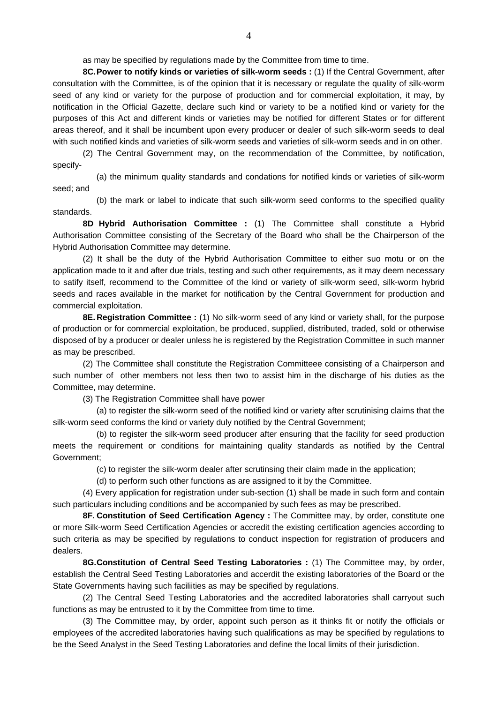as may be specified by regulations made by the Committee from time to time.

**8C. Power to notify kinds or varieties of silk-worm seeds :** (1) If the Central Government, after consultation with the Committee, is of the opinion that it is necessary or regulate the quality of silk-worm seed of any kind or variety for the purpose of production and for commercial exploitation, it may, by notification in the Official Gazette, declare such kind or variety to be a notified kind or variety for the purposes of this Act and different kinds or varieties may be notified for different States or for different areas thereof, and it shall be incumbent upon every producer or dealer of such silk-worm seeds to deal with such notified kinds and varieties of silk-worm seeds and varieties of silk-worm seeds and in on other.

 (2) The Central Government may, on the recommendation of the Committee, by notification, specify-

 (a) the minimum quality standards and condations for notified kinds or varieties of silk-worm seed; and

 (b) the mark or label to indicate that such silk-worm seed conforms to the specified quality standards.

**8D Hybrid Authorisation Committee :** (1) The Committee shall constitute a Hybrid Authorisation Committee consisting of the Secretary of the Board who shall be the Chairperson of the Hybrid Authorisation Committee may determine.

 (2) It shall be the duty of the Hybrid Authorisation Committee to either suo motu or on the application made to it and after due trials, testing and such other requirements, as it may deem necessary to satify itself, recommend to the Committee of the kind or variety of silk-worm seed, silk-worm hybrid seeds and races available in the market for notification by the Central Government for production and commercial exploitation.

**8E. Registration Committee :** (1) No silk-worm seed of any kind or variety shall, for the purpose of production or for commercial exploitation, be produced, supplied, distributed, traded, sold or otherwise disposed of by a producer or dealer unless he is registered by the Registration Committee in such manner as may be prescribed.

 (2) The Committee shall constitute the Registration Committeee consisting of a Chairperson and such number of other members not less then two to assist him in the discharge of his duties as the Committee, may determine.

(3) The Registration Committee shall have power

 (a) to register the silk-worm seed of the notified kind or variety after scrutinising claims that the silk-worm seed conforms the kind or variety duly notified by the Central Government;

 (b) to register the silk-worm seed producer after ensuring that the facility for seed production meets the requirement or conditions for maintaining quality standards as notified by the Central Government;

(c) to register the silk-worm dealer after scrutinsing their claim made in the application;

(d) to perform such other functions as are assigned to it by the Committee.

 (4) Every application for registration under sub-section (1) shall be made in such form and contain such particulars including conditions and be accompanied by such fees as may be prescribed.

**8F. Constitution of Seed Certification Agency :** The Committee may, by order, constitute one or more Silk-worm Seed Certification Agencies or accredit the existing certification agencies according to such criteria as may be specified by regulations to conduct inspection for registration of producers and dealers.

**8G. Constitution of Central Seed Testing Laboratories :** (1) The Committee may, by order, establish the Central Seed Testing Laboratories and accerdit the existing laboratories of the Board or the State Governments having such faciliities as may be specified by regulations.

 (2) The Central Seed Testing Laboratories and the accredited laboratories shall carryout such functions as may be entrusted to it by the Committee from time to time.

 (3) The Committee may, by order, appoint such person as it thinks fit or notify the officials or employees of the accredited laboratories having such qualifications as may be specified by regulations to be the Seed Analyst in the Seed Testing Laboratories and define the local limits of their jurisdiction.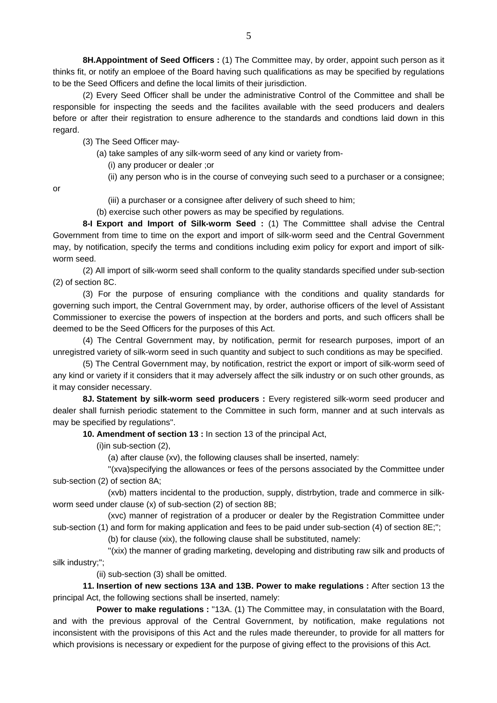**8H.Appointment of Seed Officers :** (1) The Committee may, by order, appoint such person as it thinks fit, or notify an emploee of the Board having such qualifications as may be specified by regulations to be the Seed Officers and define the local limits of their jurisdiction.

 (2) Every Seed Officer shall be under the administrative Control of the Committee and shall be responsible for inspecting the seeds and the facilites available with the seed producers and dealers before or after their registration to ensure adherence to the standards and condtions laid down in this regard.

(3) The Seed Officer may-

- (a) take samples of any silk-worm seed of any kind or variety from-
	- (i) any producer or dealer ;or
	- (ii) any person who is in the course of conveying such seed to a purchaser or a consignee;

or

- (iii) a purchaser or a consignee after delivery of such sheed to him;
- (b) exercise such other powers as may be specified by regulations.

**8-I Export and Import of Silk-worm Seed :** (1) The Committtee shall advise the Central Government from time to time on the export and import of silk-worm seed and the Central Government may, by notification, specify the terms and conditions including exim policy for export and import of silkworm seed.

 (2) All import of silk-worm seed shall conform to the quality standards specified under sub-section (2) of section 8C.

 (3) For the purpose of ensuring compliance with the conditions and quality standards for governing such import, the Central Government may, by order, authorise officers of the level of Assistant Commissioner to exercise the powers of inspection at the borders and ports, and such officers shall be deemed to be the Seed Officers for the purposes of this Act.

 (4) The Central Government may, by notification, permit for research purposes, import of an unregistred variety of silk-worm seed in such quantity and subject to such conditions as may be specified.

 (5) The Central Government may, by notification, restrict the export or import of silk-worm seed of any kind or variety if it considers that it may adversely affect the silk industry or on such other grounds, as it may consider necessary.

**8J. Statement by silk-worm seed producers :** Every registered silk-worm seed producer and dealer shall furnish periodic statement to the Committee in such form, manner and at such intervals as may be specified by regulations''.

**10. Amendment of section 13 :** In section 13 of the principal Act,

(i)in sub-section (2),

(a) after clause (xv), the following clauses shall be inserted, namely:

 ''(xva)specifying the allowances or fees of the persons associated by the Committee under sub-section (2) of section 8A;

 (xvb) matters incidental to the production, supply, distrbytion, trade and commerce in silkworm seed under clause (x) of sub-section (2) of section 8B;

 (xvc) manner of registration of a producer or dealer by the Registration Committee under sub-section (1) and form for making application and fees to be paid under sub-section (4) of section 8E;'';

(b) for clause (xix), the following clause shall be substituted, namely:

 ''(xix) the manner of grading marketing, developing and distributing raw silk and products of silk industry;'';

(ii) sub-section (3) shall be omitted.

**11. Insertion of new sections 13A and 13B. Power to make regulations :** After section 13 the principal Act, the following sections shall be inserted, namely:

**Power to make regulations :** "13A. (1) The Committee may, in consulatation with the Board, and with the previous approval of the Central Government, by notification, make regulations not inconsistent with the provisipons of this Act and the rules made thereunder, to provide for all matters for which provisions is necessary or expedient for the purpose of giving effect to the provisions of this Act.